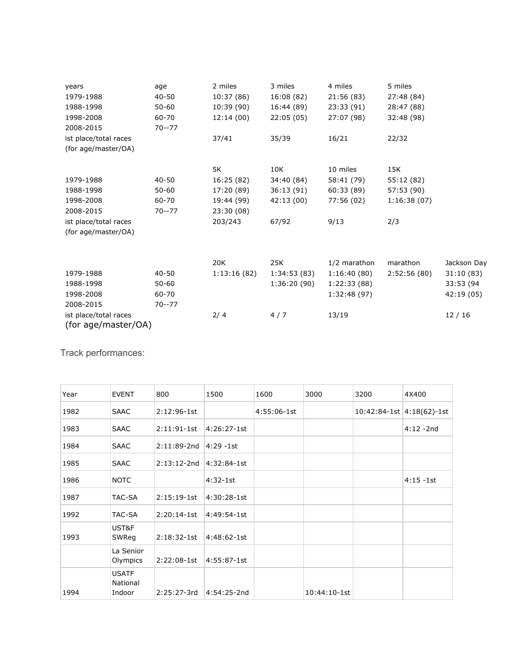| years                                        | age       | 2 miles     | 3 miles     | 4 miles      | 5 miles     |             |
|----------------------------------------------|-----------|-------------|-------------|--------------|-------------|-------------|
| 1979-1988                                    | $40 - 50$ | 10:37 (86)  | 16:08 (82)  | 21:56 (83)   | 27:48 (84)  |             |
| 1988-1998                                    | $50 - 60$ | 10:39 (90)  | 16:44 (89)  | 23:33 (91)   | 28:47 (88)  |             |
| 1998-2008                                    | 60-70     | 12:14(00)   | 22:05(05)   | 27:07 (98)   | 32:48 (98)  |             |
| 2008-2015                                    | $70 - 77$ |             |             |              |             |             |
| ist place/total races                        |           | 37/41       | 35/39       | 16/21        | 22/32       |             |
| (for age/master/OA)                          |           |             |             |              |             |             |
|                                              |           | 5K          | 10K         | 10 miles     | 15K         |             |
| 1979-1988                                    | $40 - 50$ | 16:25 (82)  | 34:40 (84)  | 58:41 (79)   | 55:12 (82)  |             |
| 1988-1998                                    | $50 - 60$ | 17:20 (89)  | 36:13(91)   | 60:33 (89)   | 57:53 (90)  |             |
| 1998-2008                                    | 60-70     | 19:44 (99)  | 42:13(00)   | 77:56 (02)   | 1:16:38(07) |             |
| 2008-2015                                    | $70 - 77$ | 23:30 (08)  |             |              |             |             |
| ist place/total races                        |           | 203/243     | 67/92       | 9/13         | 2/3         |             |
| (for age/master/OA)                          |           |             |             |              |             |             |
|                                              |           |             |             |              |             |             |
|                                              |           | 20K         | 25K         | 1/2 marathon | marathon    | Jackson Day |
| 1979-1988                                    | $40 - 50$ | 1:13:16(82) | 1:34:53(83) | 1:16:40(80)  | 2:52:56(80) | 31:10(83)   |
| 1988-1998                                    | $50 - 60$ |             | 1:36:20(90) | 1:22:33(88)  |             | 33:53 (94   |
| 1998-2008                                    | 60-70     |             |             | 1:32:48(97)  |             | 42:19 (05)  |
| 2008-2015                                    | $70 - 77$ |             |             |              |             |             |
| ist place/total races<br>(for age/master/OA) |           | 2/4         | 4/7         | 13/19        |             | 12/16       |

Track performances:

| Year | <b>EVENT</b>                       | 800           | 1500          | 1600        | 3000         | 3200 | 4X400                         |
|------|------------------------------------|---------------|---------------|-------------|--------------|------|-------------------------------|
| 1982 | <b>SAAC</b>                        | $2:12:96-1st$ |               | 4:55:06-1st |              |      | $10:42:84-1st$ $4:18(62)-1st$ |
| 1983 | <b>SAAC</b>                        | $2:11:91-1st$ | $4:26:27-1st$ |             |              |      | $4:12 - 2nd$                  |
| 1984 | <b>SAAC</b>                        | 2:11:89-2nd   | $4:29 - 1st$  |             |              |      |                               |
| 1985 | <b>SAAC</b>                        | $2:13:12-2nd$ | $4:32:84-1st$ |             |              |      |                               |
| 1986 | <b>NOTC</b>                        |               | $4:32-1st$    |             |              |      | $4:15 - 1st$                  |
| 1987 | TAC-SA                             | $2:15:19-1st$ | $4:30:28-1st$ |             |              |      |                               |
| 1992 | TAC-SA                             | $2:20:14-1st$ | 4:49:54-1st   |             |              |      |                               |
| 1993 | UST&F<br>SWReg                     | $2:18:32-1st$ | 4:48:62-1st   |             |              |      |                               |
|      | La Senior<br>Olympics              | $2:22:08-1st$ | 4:55:87-1st   |             |              |      |                               |
| 1994 | <b>USATF</b><br>National<br>Indoor | 2:25:27-3rd   | 4:54:25-2nd   |             | 10:44:10-1st |      |                               |